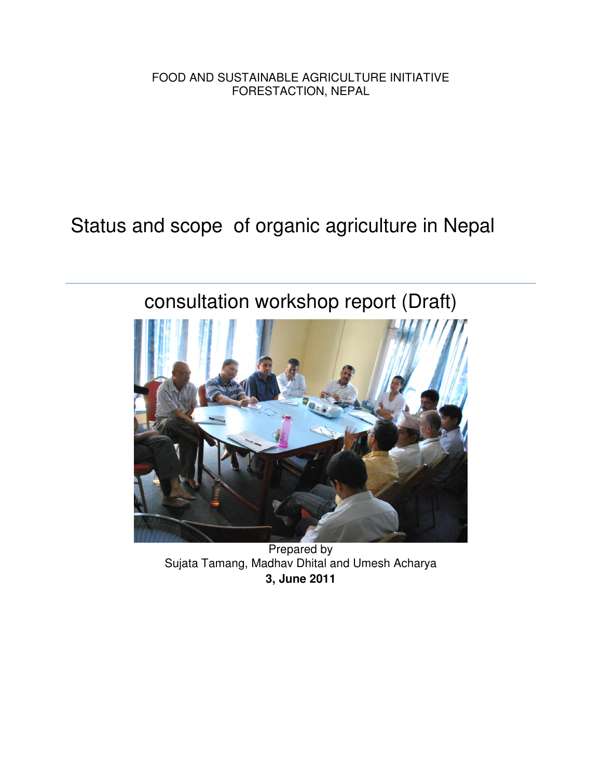FOOD AND SUSTAINABLE AGRICULTURE INITIATIVE FORESTACTION, NEPAL

Status and scope of organic agriculture in Nepal

# consultation workshop report (Draft)



Prepared by Sujata Tamang, Madhav Dhital and Umesh Acharya **3, June 2011**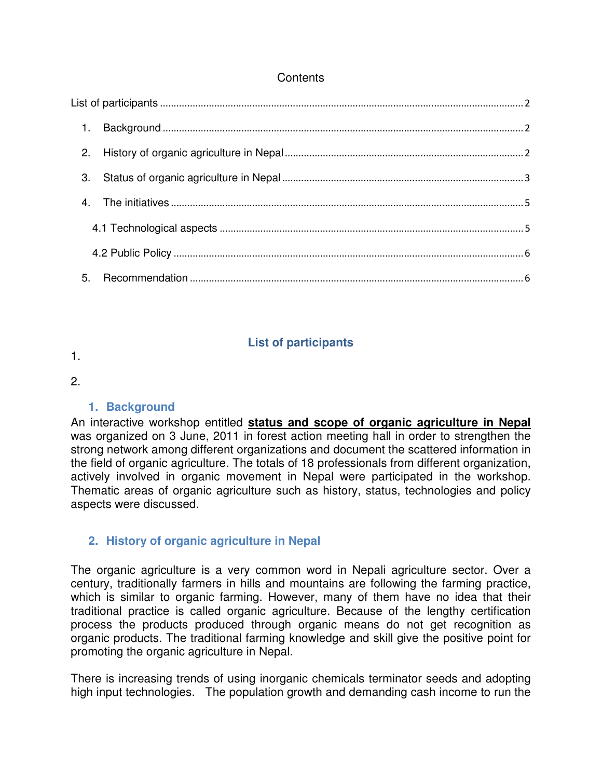### **Contents**

| $\mathbf{1}$ . |  |  |
|----------------|--|--|
| 2.             |  |  |
| 3.             |  |  |
|                |  |  |
|                |  |  |
|                |  |  |
| 5.             |  |  |

## **List of participants**

1.

#### 2.

## **1. Background**

An interactive workshop entitled **status and scope of organic agriculture in Nepal** was organized on 3 June, 2011 in forest action meeting hall in order to strengthen the strong network among different organizations and document the scattered information in the field of organic agriculture. The totals of 18 professionals from different organization, actively involved in organic movement in Nepal were participated in the workshop. Thematic areas of organic agriculture such as history, status, technologies and policy aspects were discussed.

## **2. History of organic agriculture in Nepal**

The organic agriculture is a very common word in Nepali agriculture sector. Over a century, traditionally farmers in hills and mountains are following the farming practice, which is similar to organic farming. However, many of them have no idea that their traditional practice is called organic agriculture. Because of the lengthy certification process the products produced through organic means do not get recognition as organic products. The traditional farming knowledge and skill give the positive point for promoting the organic agriculture in Nepal.

There is increasing trends of using inorganic chemicals terminator seeds and adopting high input technologies. The population growth and demanding cash income to run the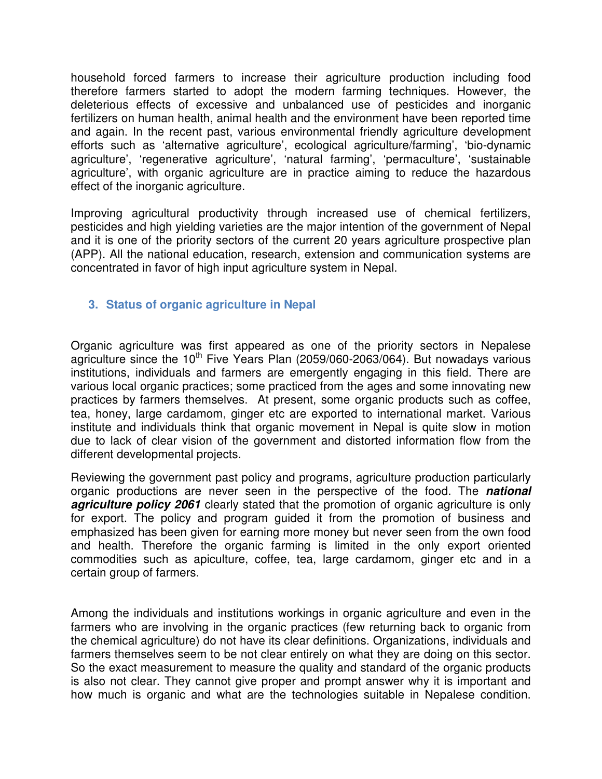household forced farmers to increase their agriculture production including food therefore farmers started to adopt the modern farming techniques. However, the deleterious effects of excessive and unbalanced use of pesticides and inorganic fertilizers on human health, animal health and the environment have been reported time and again. In the recent past, various environmental friendly agriculture development efforts such as 'alternative agriculture', ecological agriculture/farming', 'bio-dynamic agriculture', 'regenerative agriculture', 'natural farming', 'permaculture', 'sustainable agriculture', with organic agriculture are in practice aiming to reduce the hazardous effect of the inorganic agriculture.

Improving agricultural productivity through increased use of chemical fertilizers, pesticides and high yielding varieties are the major intention of the government of Nepal and it is one of the priority sectors of the current 20 years agriculture prospective plan (APP). All the national education, research, extension and communication systems are concentrated in favor of high input agriculture system in Nepal.

## **3. Status of organic agriculture in Nepal**

Organic agriculture was first appeared as one of the priority sectors in Nepalese agriculture since the 10<sup>th</sup> Five Years Plan (2059/060-2063/064). But nowadays various institutions, individuals and farmers are emergently engaging in this field. There are various local organic practices; some practiced from the ages and some innovating new practices by farmers themselves. At present, some organic products such as coffee, tea, honey, large cardamom, ginger etc are exported to international market. Various institute and individuals think that organic movement in Nepal is quite slow in motion due to lack of clear vision of the government and distorted information flow from the different developmental projects.

Reviewing the government past policy and programs, agriculture production particularly organic productions are never seen in the perspective of the food. The **national agriculture policy 2061** clearly stated that the promotion of organic agriculture is only for export. The policy and program guided it from the promotion of business and emphasized has been given for earning more money but never seen from the own food and health. Therefore the organic farming is limited in the only export oriented commodities such as apiculture, coffee, tea, large cardamom, ginger etc and in a certain group of farmers.

Among the individuals and institutions workings in organic agriculture and even in the farmers who are involving in the organic practices (few returning back to organic from the chemical agriculture) do not have its clear definitions. Organizations, individuals and farmers themselves seem to be not clear entirely on what they are doing on this sector. So the exact measurement to measure the quality and standard of the organic products is also not clear. They cannot give proper and prompt answer why it is important and how much is organic and what are the technologies suitable in Nepalese condition.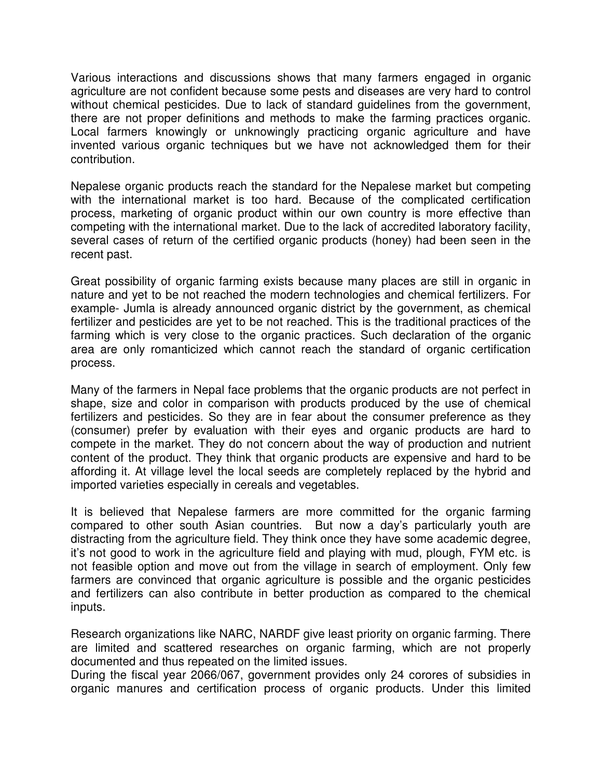Various interactions and discussions shows that many farmers engaged in organic agriculture are not confident because some pests and diseases are very hard to control without chemical pesticides. Due to lack of standard guidelines from the government, there are not proper definitions and methods to make the farming practices organic. Local farmers knowingly or unknowingly practicing organic agriculture and have invented various organic techniques but we have not acknowledged them for their contribution.

Nepalese organic products reach the standard for the Nepalese market but competing with the international market is too hard. Because of the complicated certification process, marketing of organic product within our own country is more effective than competing with the international market. Due to the lack of accredited laboratory facility, several cases of return of the certified organic products (honey) had been seen in the recent past.

Great possibility of organic farming exists because many places are still in organic in nature and yet to be not reached the modern technologies and chemical fertilizers. For example- Jumla is already announced organic district by the government, as chemical fertilizer and pesticides are yet to be not reached. This is the traditional practices of the farming which is very close to the organic practices. Such declaration of the organic area are only romanticized which cannot reach the standard of organic certification process.

Many of the farmers in Nepal face problems that the organic products are not perfect in shape, size and color in comparison with products produced by the use of chemical fertilizers and pesticides. So they are in fear about the consumer preference as they (consumer) prefer by evaluation with their eyes and organic products are hard to compete in the market. They do not concern about the way of production and nutrient content of the product. They think that organic products are expensive and hard to be affording it. At village level the local seeds are completely replaced by the hybrid and imported varieties especially in cereals and vegetables.

It is believed that Nepalese farmers are more committed for the organic farming compared to other south Asian countries. But now a day's particularly youth are distracting from the agriculture field. They think once they have some academic degree, it's not good to work in the agriculture field and playing with mud, plough, FYM etc. is not feasible option and move out from the village in search of employment. Only few farmers are convinced that organic agriculture is possible and the organic pesticides and fertilizers can also contribute in better production as compared to the chemical inputs.

Research organizations like NARC, NARDF give least priority on organic farming. There are limited and scattered researches on organic farming, which are not properly documented and thus repeated on the limited issues.

During the fiscal year 2066/067, government provides only 24 corores of subsidies in organic manures and certification process of organic products. Under this limited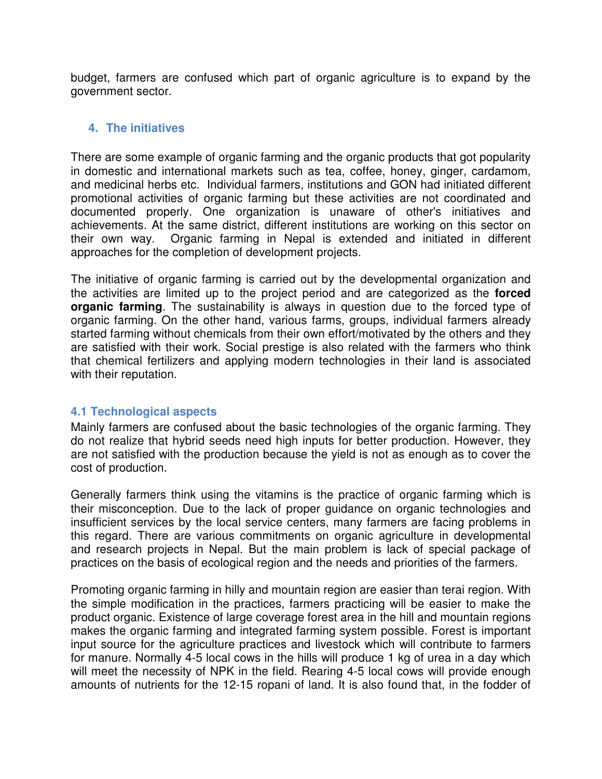budget, farmers are confused which part of organic agriculture is to expand by the government sector.

#### **4. The initiatives**

There are some example of organic farming and the organic products that got popularity in domestic and international markets such as tea, coffee, honey, ginger, cardamom, and medicinal herbs etc. Individual farmers, institutions and GON had initiated different promotional activities of organic farming but these activities are not coordinated and documented properly. One organization is unaware of other's initiatives and achievements. At the same district, different institutions are working on this sector on their own way. Organic farming in Nepal is extended and initiated in different approaches for the completion of development projects.

The initiative of organic farming is carried out by the developmental organization and the activities are limited up to the project period and are categorized as the **forced organic farming**. The sustainability is always in question due to the forced type of organic farming. On the other hand, various farms, groups, individual farmers already started farming without chemicals from their own effort/motivated by the others and they are satisfied with their work. Social prestige is also related with the farmers who think that chemical fertilizers and applying modern technologies in their land is associated with their reputation.

#### **4.1 Technological aspects**

Mainly farmers are confused about the basic technologies of the organic farming. They do not realize that hybrid seeds need high inputs for better production. However, they are not satisfied with the production because the yield is not as enough as to cover the cost of production.

Generally farmers think using the vitamins is the practice of organic farming which is their misconception. Due to the lack of proper guidance on organic technologies and insufficient services by the local service centers, many farmers are facing problems in this regard. There are various commitments on organic agriculture in developmental and research projects in Nepal. But the main problem is lack of special package of practices on the basis of ecological region and the needs and priorities of the farmers.

Promoting organic farming in hilly and mountain region are easier than terai region. With the simple modification in the practices, farmers practicing will be easier to make the product organic. Existence of large coverage forest area in the hill and mountain regions makes the organic farming and integrated farming system possible. Forest is important input source for the agriculture practices and livestock which will contribute to farmers for manure. Normally 4-5 local cows in the hills will produce 1 kg of urea in a day which will meet the necessity of NPK in the field. Rearing 4-5 local cows will provide enough amounts of nutrients for the 12-15 ropani of land. It is also found that, in the fodder of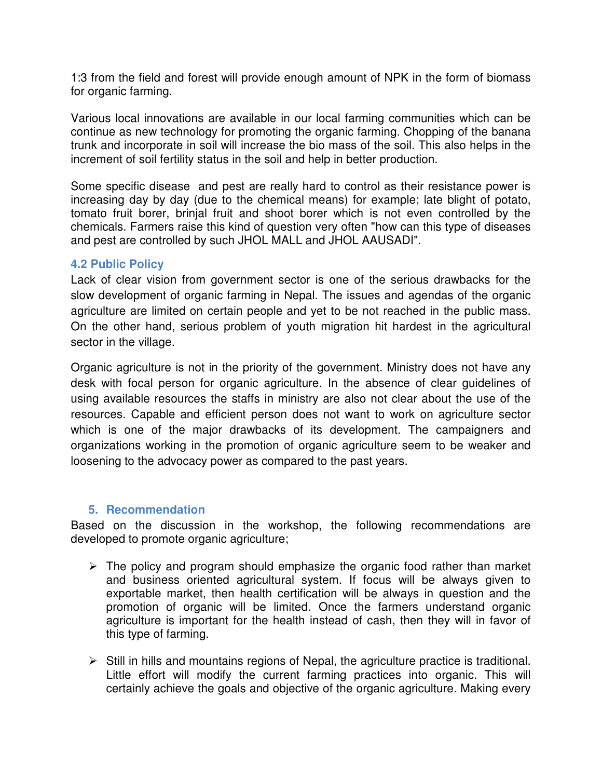1:3 from the field and forest will provide enough amount of NPK in the form of biomass for organic farming.

Various local innovations are available in our local farming communities which can be continue as new technology for promoting the organic farming. Chopping of the banana trunk and incorporate in soil will increase the bio mass of the soil. This also helps in the increment of soil fertility status in the soil and help in better production.

Some specific disease and pest are really hard to control as their resistance power is increasing day by day (due to the chemical means) for example; late blight of potato, tomato fruit borer, brinjal fruit and shoot borer which is not even controlled by the chemicals. Farmers raise this kind of question very often "how can this type of diseases and pest are controlled by such JHOL MALL and JHOL AAUSADI".

#### **4.2 Public Policy**

Lack of clear vision from government sector is one of the serious drawbacks for the slow development of organic farming in Nepal. The issues and agendas of the organic agriculture are limited on certain people and yet to be not reached in the public mass. On the other hand, serious problem of youth migration hit hardest in the agricultural sector in the village.

Organic agriculture is not in the priority of the government. Ministry does not have any desk with focal person for organic agriculture. In the absence of clear guidelines of using available resources the staffs in ministry are also not clear about the use of the resources. Capable and efficient person does not want to work on agriculture sector which is one of the major drawbacks of its development. The campaigners and organizations working in the promotion of organic agriculture seem to be weaker and loosening to the advocacy power as compared to the past years.

#### **5. Recommendation**

Based on the discussion in the workshop, the following recommendations are developed to promote organic agriculture;

- $\triangleright$  The policy and program should emphasize the organic food rather than market and business oriented agricultural system. If focus will be always given to exportable market, then health certification will be always in question and the promotion of organic will be limited. Once the farmers understand organic agriculture is important for the health instead of cash, then they will in favor of this type of farming.
- $\triangleright$  Still in hills and mountains regions of Nepal, the agriculture practice is traditional. Little effort will modify the current farming practices into organic. This will certainly achieve the goals and objective of the organic agriculture. Making every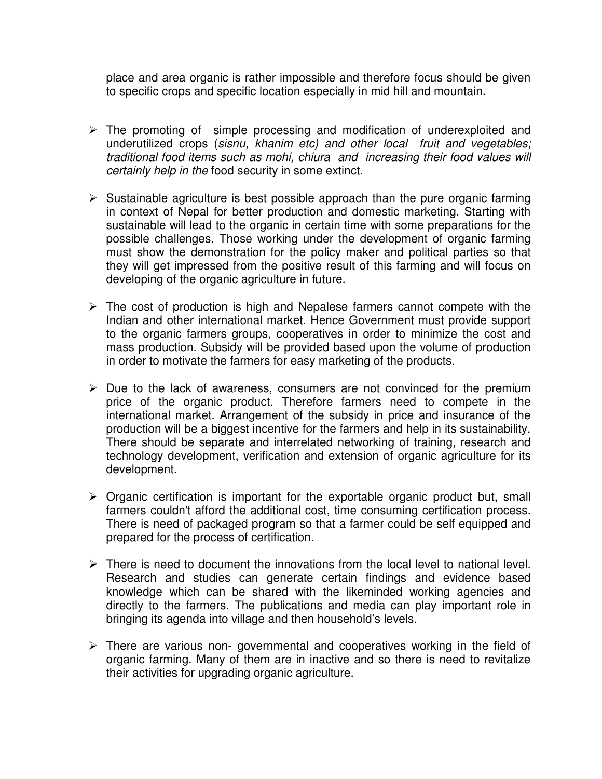place and area organic is rather impossible and therefore focus should be given to specific crops and specific location especially in mid hill and mountain.

- $\triangleright$  The promoting of simple processing and modification of underexploited and underutilized crops (sisnu, khanim etc) and other local fruit and vegetables; traditional food items such as mohi, chiura and increasing their food values will certainly help in the food security in some extinct.
- $\triangleright$  Sustainable agriculture is best possible approach than the pure organic farming in context of Nepal for better production and domestic marketing. Starting with sustainable will lead to the organic in certain time with some preparations for the possible challenges. Those working under the development of organic farming must show the demonstration for the policy maker and political parties so that they will get impressed from the positive result of this farming and will focus on developing of the organic agriculture in future.
- $\triangleright$  The cost of production is high and Nepalese farmers cannot compete with the Indian and other international market. Hence Government must provide support to the organic farmers groups, cooperatives in order to minimize the cost and mass production. Subsidy will be provided based upon the volume of production in order to motivate the farmers for easy marketing of the products.
- $\triangleright$  Due to the lack of awareness, consumers are not convinced for the premium price of the organic product. Therefore farmers need to compete in the international market. Arrangement of the subsidy in price and insurance of the production will be a biggest incentive for the farmers and help in its sustainability. There should be separate and interrelated networking of training, research and technology development, verification and extension of organic agriculture for its development.
- $\triangleright$  Organic certification is important for the exportable organic product but, small farmers couldn't afford the additional cost, time consuming certification process. There is need of packaged program so that a farmer could be self equipped and prepared for the process of certification.
- $\triangleright$  There is need to document the innovations from the local level to national level. Research and studies can generate certain findings and evidence based knowledge which can be shared with the likeminded working agencies and directly to the farmers. The publications and media can play important role in bringing its agenda into village and then household's levels.
- $\triangleright$  There are various non-governmental and cooperatives working in the field of organic farming. Many of them are in inactive and so there is need to revitalize their activities for upgrading organic agriculture.